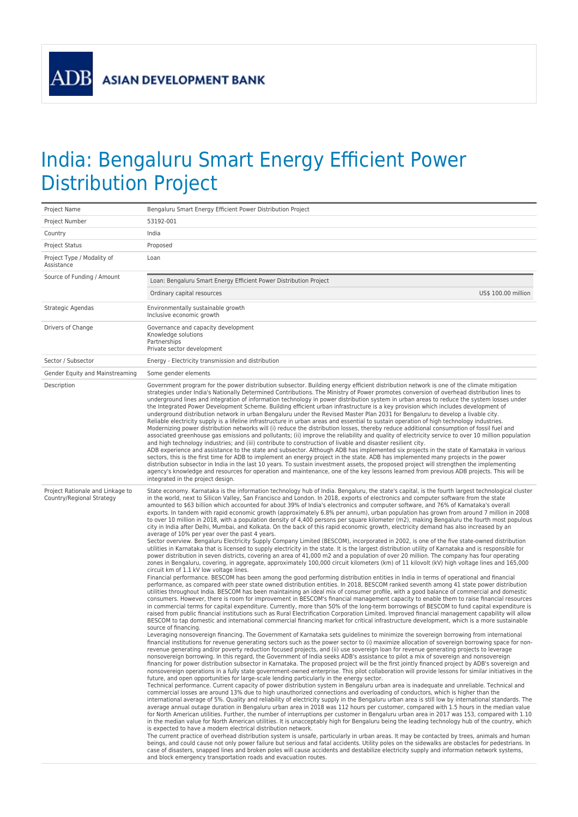**ADB** 

## India: Bengaluru Smart Energy Efficient Power Distribution Project

| Project Name                                                  | Bengaluru Smart Energy Efficient Power Distribution Project                                                                                                                                                                                                                                                                                                                                                                                                                                                                                                                                                                                                                                                                                                                                                                                                                                                                                                                                                                                                                                                                                                                                                                                                                                                                                                                                                                                                                                                                                                                                                                                                                                                                                                                                                                                                                                                                                                                                                                                                                                                                                                                                                                                                                                                                                                                                                                                                                                                                                                                                                                                                                                                                                                                                                                                                                                                                                                                                                                                                                                                                                                                                                                                                                                                                                                                                                                                                                                                                                                                                                                                                                                                                                                                                                                                                                                                                                                                                                                                                                                                                                                                                                                                                                                                                                                                                                                                                                                                                                                                                                                                                                                                                                                                                                                                                                                                                                                                                                                                                                |  |
|---------------------------------------------------------------|----------------------------------------------------------------------------------------------------------------------------------------------------------------------------------------------------------------------------------------------------------------------------------------------------------------------------------------------------------------------------------------------------------------------------------------------------------------------------------------------------------------------------------------------------------------------------------------------------------------------------------------------------------------------------------------------------------------------------------------------------------------------------------------------------------------------------------------------------------------------------------------------------------------------------------------------------------------------------------------------------------------------------------------------------------------------------------------------------------------------------------------------------------------------------------------------------------------------------------------------------------------------------------------------------------------------------------------------------------------------------------------------------------------------------------------------------------------------------------------------------------------------------------------------------------------------------------------------------------------------------------------------------------------------------------------------------------------------------------------------------------------------------------------------------------------------------------------------------------------------------------------------------------------------------------------------------------------------------------------------------------------------------------------------------------------------------------------------------------------------------------------------------------------------------------------------------------------------------------------------------------------------------------------------------------------------------------------------------------------------------------------------------------------------------------------------------------------------------------------------------------------------------------------------------------------------------------------------------------------------------------------------------------------------------------------------------------------------------------------------------------------------------------------------------------------------------------------------------------------------------------------------------------------------------------------------------------------------------------------------------------------------------------------------------------------------------------------------------------------------------------------------------------------------------------------------------------------------------------------------------------------------------------------------------------------------------------------------------------------------------------------------------------------------------------------------------------------------------------------------------------------------------------------------------------------------------------------------------------------------------------------------------------------------------------------------------------------------------------------------------------------------------------------------------------------------------------------------------------------------------------------------------------------------------------------------------------------------------------------------------------------------------------------------------------------------------------------------------------------------------------------------------------------------------------------------------------------------------------------------------------------------------------------------------------------------------------------------------------------------------------------------------------------------------------------------------------------------------------------------------------------------------------------------------------------------------------------------------------------------------------------------------------------------------------------------------------------------------------------------------------------------------------------------------------------------------------------------------------------------------------------------------------------------------------------------------------------------------------------------------------------------------------------------------------------------------|--|
| Project Number                                                | 53192-001                                                                                                                                                                                                                                                                                                                                                                                                                                                                                                                                                                                                                                                                                                                                                                                                                                                                                                                                                                                                                                                                                                                                                                                                                                                                                                                                                                                                                                                                                                                                                                                                                                                                                                                                                                                                                                                                                                                                                                                                                                                                                                                                                                                                                                                                                                                                                                                                                                                                                                                                                                                                                                                                                                                                                                                                                                                                                                                                                                                                                                                                                                                                                                                                                                                                                                                                                                                                                                                                                                                                                                                                                                                                                                                                                                                                                                                                                                                                                                                                                                                                                                                                                                                                                                                                                                                                                                                                                                                                                                                                                                                                                                                                                                                                                                                                                                                                                                                                                                                                                                                                  |  |
| Country                                                       | India                                                                                                                                                                                                                                                                                                                                                                                                                                                                                                                                                                                                                                                                                                                                                                                                                                                                                                                                                                                                                                                                                                                                                                                                                                                                                                                                                                                                                                                                                                                                                                                                                                                                                                                                                                                                                                                                                                                                                                                                                                                                                                                                                                                                                                                                                                                                                                                                                                                                                                                                                                                                                                                                                                                                                                                                                                                                                                                                                                                                                                                                                                                                                                                                                                                                                                                                                                                                                                                                                                                                                                                                                                                                                                                                                                                                                                                                                                                                                                                                                                                                                                                                                                                                                                                                                                                                                                                                                                                                                                                                                                                                                                                                                                                                                                                                                                                                                                                                                                                                                                                                      |  |
| <b>Project Status</b>                                         | Proposed                                                                                                                                                                                                                                                                                                                                                                                                                                                                                                                                                                                                                                                                                                                                                                                                                                                                                                                                                                                                                                                                                                                                                                                                                                                                                                                                                                                                                                                                                                                                                                                                                                                                                                                                                                                                                                                                                                                                                                                                                                                                                                                                                                                                                                                                                                                                                                                                                                                                                                                                                                                                                                                                                                                                                                                                                                                                                                                                                                                                                                                                                                                                                                                                                                                                                                                                                                                                                                                                                                                                                                                                                                                                                                                                                                                                                                                                                                                                                                                                                                                                                                                                                                                                                                                                                                                                                                                                                                                                                                                                                                                                                                                                                                                                                                                                                                                                                                                                                                                                                                                                   |  |
| Project Type / Modality of<br>Assistance                      | Loan                                                                                                                                                                                                                                                                                                                                                                                                                                                                                                                                                                                                                                                                                                                                                                                                                                                                                                                                                                                                                                                                                                                                                                                                                                                                                                                                                                                                                                                                                                                                                                                                                                                                                                                                                                                                                                                                                                                                                                                                                                                                                                                                                                                                                                                                                                                                                                                                                                                                                                                                                                                                                                                                                                                                                                                                                                                                                                                                                                                                                                                                                                                                                                                                                                                                                                                                                                                                                                                                                                                                                                                                                                                                                                                                                                                                                                                                                                                                                                                                                                                                                                                                                                                                                                                                                                                                                                                                                                                                                                                                                                                                                                                                                                                                                                                                                                                                                                                                                                                                                                                                       |  |
| Source of Funding / Amount                                    | Loan: Bengaluru Smart Energy Efficient Power Distribution Project                                                                                                                                                                                                                                                                                                                                                                                                                                                                                                                                                                                                                                                                                                                                                                                                                                                                                                                                                                                                                                                                                                                                                                                                                                                                                                                                                                                                                                                                                                                                                                                                                                                                                                                                                                                                                                                                                                                                                                                                                                                                                                                                                                                                                                                                                                                                                                                                                                                                                                                                                                                                                                                                                                                                                                                                                                                                                                                                                                                                                                                                                                                                                                                                                                                                                                                                                                                                                                                                                                                                                                                                                                                                                                                                                                                                                                                                                                                                                                                                                                                                                                                                                                                                                                                                                                                                                                                                                                                                                                                                                                                                                                                                                                                                                                                                                                                                                                                                                                                                          |  |
|                                                               | Ordinary capital resources<br>US\$ 100.00 million                                                                                                                                                                                                                                                                                                                                                                                                                                                                                                                                                                                                                                                                                                                                                                                                                                                                                                                                                                                                                                                                                                                                                                                                                                                                                                                                                                                                                                                                                                                                                                                                                                                                                                                                                                                                                                                                                                                                                                                                                                                                                                                                                                                                                                                                                                                                                                                                                                                                                                                                                                                                                                                                                                                                                                                                                                                                                                                                                                                                                                                                                                                                                                                                                                                                                                                                                                                                                                                                                                                                                                                                                                                                                                                                                                                                                                                                                                                                                                                                                                                                                                                                                                                                                                                                                                                                                                                                                                                                                                                                                                                                                                                                                                                                                                                                                                                                                                                                                                                                                          |  |
| Strategic Agendas                                             | Environmentally sustainable growth<br>Inclusive economic growth                                                                                                                                                                                                                                                                                                                                                                                                                                                                                                                                                                                                                                                                                                                                                                                                                                                                                                                                                                                                                                                                                                                                                                                                                                                                                                                                                                                                                                                                                                                                                                                                                                                                                                                                                                                                                                                                                                                                                                                                                                                                                                                                                                                                                                                                                                                                                                                                                                                                                                                                                                                                                                                                                                                                                                                                                                                                                                                                                                                                                                                                                                                                                                                                                                                                                                                                                                                                                                                                                                                                                                                                                                                                                                                                                                                                                                                                                                                                                                                                                                                                                                                                                                                                                                                                                                                                                                                                                                                                                                                                                                                                                                                                                                                                                                                                                                                                                                                                                                                                            |  |
| Drivers of Change                                             | Governance and capacity development<br>Knowledge solutions<br>Partnerships<br>Private sector development                                                                                                                                                                                                                                                                                                                                                                                                                                                                                                                                                                                                                                                                                                                                                                                                                                                                                                                                                                                                                                                                                                                                                                                                                                                                                                                                                                                                                                                                                                                                                                                                                                                                                                                                                                                                                                                                                                                                                                                                                                                                                                                                                                                                                                                                                                                                                                                                                                                                                                                                                                                                                                                                                                                                                                                                                                                                                                                                                                                                                                                                                                                                                                                                                                                                                                                                                                                                                                                                                                                                                                                                                                                                                                                                                                                                                                                                                                                                                                                                                                                                                                                                                                                                                                                                                                                                                                                                                                                                                                                                                                                                                                                                                                                                                                                                                                                                                                                                                                   |  |
| Sector / Subsector                                            | Energy - Electricity transmission and distribution                                                                                                                                                                                                                                                                                                                                                                                                                                                                                                                                                                                                                                                                                                                                                                                                                                                                                                                                                                                                                                                                                                                                                                                                                                                                                                                                                                                                                                                                                                                                                                                                                                                                                                                                                                                                                                                                                                                                                                                                                                                                                                                                                                                                                                                                                                                                                                                                                                                                                                                                                                                                                                                                                                                                                                                                                                                                                                                                                                                                                                                                                                                                                                                                                                                                                                                                                                                                                                                                                                                                                                                                                                                                                                                                                                                                                                                                                                                                                                                                                                                                                                                                                                                                                                                                                                                                                                                                                                                                                                                                                                                                                                                                                                                                                                                                                                                                                                                                                                                                                         |  |
| Gender Equity and Mainstreaming                               | Some gender elements                                                                                                                                                                                                                                                                                                                                                                                                                                                                                                                                                                                                                                                                                                                                                                                                                                                                                                                                                                                                                                                                                                                                                                                                                                                                                                                                                                                                                                                                                                                                                                                                                                                                                                                                                                                                                                                                                                                                                                                                                                                                                                                                                                                                                                                                                                                                                                                                                                                                                                                                                                                                                                                                                                                                                                                                                                                                                                                                                                                                                                                                                                                                                                                                                                                                                                                                                                                                                                                                                                                                                                                                                                                                                                                                                                                                                                                                                                                                                                                                                                                                                                                                                                                                                                                                                                                                                                                                                                                                                                                                                                                                                                                                                                                                                                                                                                                                                                                                                                                                                                                       |  |
| Description                                                   | Government program for the power distribution subsector. Building energy efficient distribution network is one of the climate mitigation<br>strategies under India's Nationally Determined Contributions. The Ministry of Power promotes conversion of overhead distribution lines to<br>underground lines and integration of information technology in power distribution system in urban areas to reduce the system losses under<br>the Integrated Power Development Scheme. Building efficient urban infrastructure is a key provision which includes development of<br>underground distribution network in urban Bengaluru under the Revised Master Plan 2031 for Bengaluru to develop a livable city.<br>Reliable electricity supply is a lifeline infrastructure in urban areas and essential to sustain operation of high technology industries.<br>Modernizing power distribution networks will (i) reduce the distribution losses, thereby reduce additional consumption of fossil fuel and<br>associated greenhouse gas emissions and pollutants; (ii) improve the reliability and quality of electricity service to over 10 million population<br>and high technology industries; and (iii) contribute to construction of livable and disaster resilient city.<br>ADB experience and assistance to the state and subsector. Although ADB has implemented six projects in the state of Karnataka in various<br>sectors, this is the first time for ADB to implement an energy project in the state. ADB has implemented many projects in the power<br>distribution subsector in India in the last 10 years. To sustain investment assets, the proposed project will strengthen the implementing<br>agency's knowledge and resources for operation and maintenance, one of the key lessons learned from previous ADB projects. This will be<br>integrated in the project design.                                                                                                                                                                                                                                                                                                                                                                                                                                                                                                                                                                                                                                                                                                                                                                                                                                                                                                                                                                                                                                                                                                                                                                                                                                                                                                                                                                                                                                                                                                                                                                                                                                                                                                                                                                                                                                                                                                                                                                                                                                                                                                                                                                                                                                                                                                                                                                                                                                                                                                                                                                                                                                                                                                                                                                                                                                                                                                                                                                                                                                                                                                                                                                                  |  |
| Project Rationale and Linkage to<br>Country/Regional Strategy | State economy. Karnataka is the information technology hub of India. Bengaluru, the state's capital, is the fourth largest technological cluster<br>in the world, next to Silicon Valley, San Francisco and London. In 2018, exports of electronics and computer software from the state<br>amounted to \$63 billion which accounted for about 39% of India's electronics and computer software, and 76% of Karnataka's overall<br>exports. In tandem with rapid economic growth (approximately 6.8% per annum), urban population has grown from around 7 million in 2008<br>to over 10 million in 2018, with a population density of 4,400 persons per square kilometer (m2), making Bengaluru the fourth most populous<br>city in India after Delhi, Mumbai, and Kolkata. On the back of this rapid economic growth, electricity demand has also increased by an<br>average of 10% per year over the past 4 years.<br>Sector overview. Bengaluru Electricity Supply Company Limited (BESCOM), incorporated in 2002, is one of the five state-owned distribution<br>utilities in Karnataka that is licensed to supply electricity in the state. It is the largest distribution utility of Karnataka and is responsible for<br>power distribution in seven districts, covering an area of 41,000 m2 and a population of over 20 million. The company has four operating<br>zones in Bengaluru, covering, in aggregate, approximately 100,000 circuit kilometers (km) of 11 kilovolt (kV) high voltage lines and 165,000<br>circuit km of 1.1 kV low voltage lines.<br>Financial performance. BESCOM has been among the good performing distribution entities in India in terms of operational and financial<br>performance, as compared with peer state owned distribution entities. In 2018, BESCOM ranked seventh among 41 state power distribution<br>utilities throughout India. BESCOM has been maintaining an ideal mix of consumer profile, with a good balance of commercial and domestic<br>consumers. However, there is room for improvement in BESCOM's financial management capacity to enable them to raise financial resources<br>in commercial terms for capital expenditure. Currently, more than 50% of the long-term borrowings of BESCOM to fund capital expenditure is<br>raised from public financial institutions such as Rural Electrification Corporation Limited. Improved financial management capability will allow<br>BESCOM to tap domestic and international commercial financing market for critical infrastructure development, which is a more sustainable<br>source of financing.<br>Leveraging nonsovereign financing. The Government of Karnataka sets guidelines to minimize the sovereign borrowing from international<br>financial institutions for revenue generating sectors such as the power sector to (i) maximize allocation of sovereign borrowing space for non-<br>revenue generating and/or poverty reduction focused projects, and (ii) use sovereign loan for revenue generating projects to leverage<br>nonsovereign borrowing. In this regard, the Government of India seeks ADB's assistance to pilot a mix of sovereign and nonsovereign<br>financing for power distribution subsector in Karnataka. The proposed project will be the first jointly financed project by ADB's sovereign and<br>nonsovereign operations in a fully state government-owned enterprise. This pilot collaboration will provide lessons for similar initiatives in the<br>future, and open opportunities for large-scale lending particularly in the energy sector.<br>Technical performance. Current capacity of power distribution system in Bengaluru urban area is inadequate and unreliable. Technical and<br>commercial losses are around 13% due to high unauthorized connections and overloading of conductors, which is higher than the<br>international average of 5%. Quality and reliability of electricity supply in the Bengaluru urban area is still low by international standards. The<br>average annual outage duration in Bengaluru urban area in 2018 was 112 hours per customer, compared with 1.5 hours in the median value<br>for North American utilities. Further, the number of interruptions per customer in Bengaluru urban area in 2017 was 153, compared with 1.10<br>in the median value for North American utilities. It is unacceptably high for Bengaluru being the leading technology hub of the country, which<br>is expected to have a modern electrical distribution network.<br>The current practice of overhead distribution system is unsafe, particularly in urban areas. It may be contacted by trees, animals and human<br>beings, and could cause not only power failure but serious and fatal accidents. Utility poles on the sidewalks are obstacles for pedestrians. In<br>case of disasters, snapped lines and broken poles will cause accidents and destabilize electricity supply and information network systems,<br>and block emergency transportation roads and evacuation routes. |  |